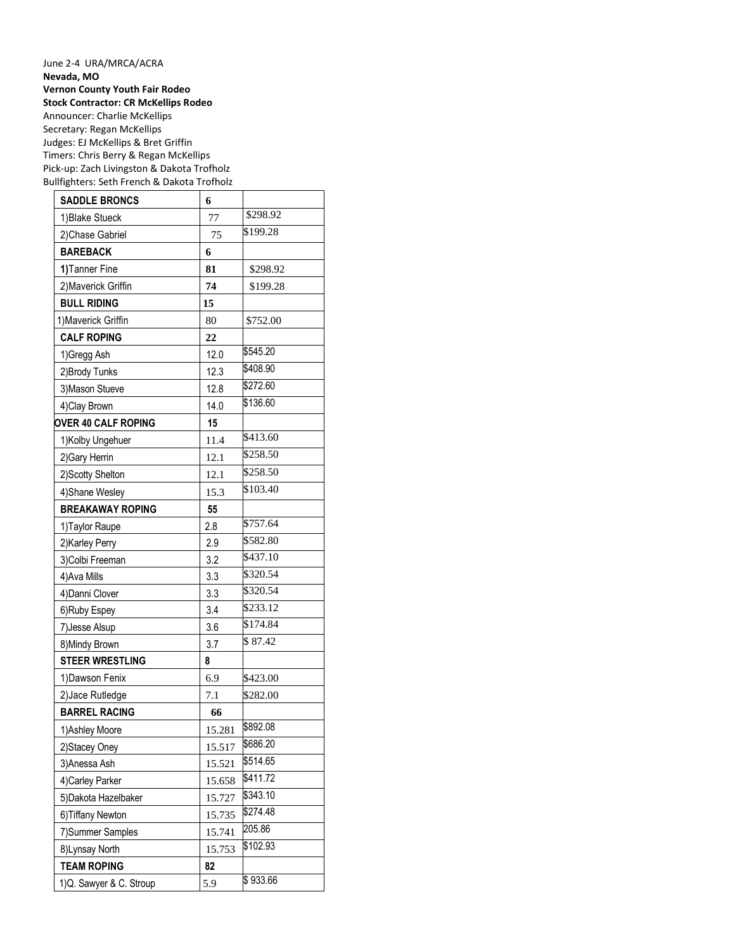## June 2-4 URA/MRCA/ACRA **Nevada, MO Vernon County Youth Fair Rodeo Stock Contractor: CR McKellips Rodeo** Announcer: Charlie McKellips Secretary: Regan McKellips Judges: EJ McKellips & Bret Griffin Timers: Chris Berry & Regan McKellips Pick-up: Zach Livingston & Dakota Trofholz Bullfighters: Seth French & Dakota Trofholz

| <b>SADDLE BRONCS</b>       | 6      |          |
|----------------------------|--------|----------|
| 1) Blake Stueck            | 77     | \$298.92 |
| 2) Chase Gabriel           | 75     | \$199.28 |
| <b>BAREBACK</b>            | 6      |          |
| 1) Tanner Fine             | 81     | \$298.92 |
| 2) Maverick Griffin        | 74     | \$199.28 |
| <b>BULL RIDING</b>         | 15     |          |
| 1) Maverick Griffin        | 80     | \$752.00 |
| <b>CALF ROPING</b>         | 22     |          |
| 1) Gregg Ash               | 12.0   | \$545.20 |
| 2) Brody Tunks             | 12.3   | \$408.90 |
| 3) Mason Stueve            | 12.8   | \$272.60 |
| 4) Clay Brown              | 14.0   | \$136.60 |
| <b>OVER 40 CALF ROPING</b> | 15     |          |
| 1)Kolby Ungehuer           | 11.4   | \$413.60 |
| 2) Gary Herrin             | 12.1   | \$258.50 |
| 2) Scotty Shelton          | 12.1   | \$258.50 |
| 4) Shane Wesley            | 15.3   | \$103.40 |
| <b>BREAKAWAY ROPING</b>    | 55     |          |
| 1) Taylor Raupe            | 2.8    | \$757.64 |
| 2) Karley Perry            | 2.9    | \$582.80 |
| 3) Colbi Freeman           | 3.2    | \$437.10 |
| 4) Ava Mills               | 3.3    | \$320.54 |
| 4) Danni Clover            | 3.3    | \$320.54 |
| 6) Ruby Espey              | 3.4    | \$233.12 |
| 7) Jesse Alsup             | 3.6    | \$174.84 |
| 8) Mindy Brown             | 3.7    | \$87.42  |
| <b>STEER WRESTLING</b>     | 8      |          |
| 1) Dawson Fenix            | 6.9    | \$423.00 |
| 2) Jace Rutledge           | 7.1    | \$282.00 |
| <b>BARREL RACING</b>       | 66     |          |
| 1) Ashley Moore            | 15.281 | \$892.08 |
| 2) Stacey Oney             | 15.517 | \$686.20 |
| 3) Anessa Ash              | 15.521 | \$514.65 |
| 4) Carley Parker           | 15.658 | \$411.72 |
| 5) Dakota Hazelbaker       | 15.727 | \$343.10 |
| 6) Tiffany Newton          | 15.735 | \$274.48 |
| 7)Summer Samples           | 15.741 | 205.86   |
| 8) Lynsay North            | 15.753 | \$102.93 |
| <b>TEAM ROPING</b>         | 82     |          |
| 1)Q. Sawyer & C. Stroup    | 5.9    | \$933.66 |